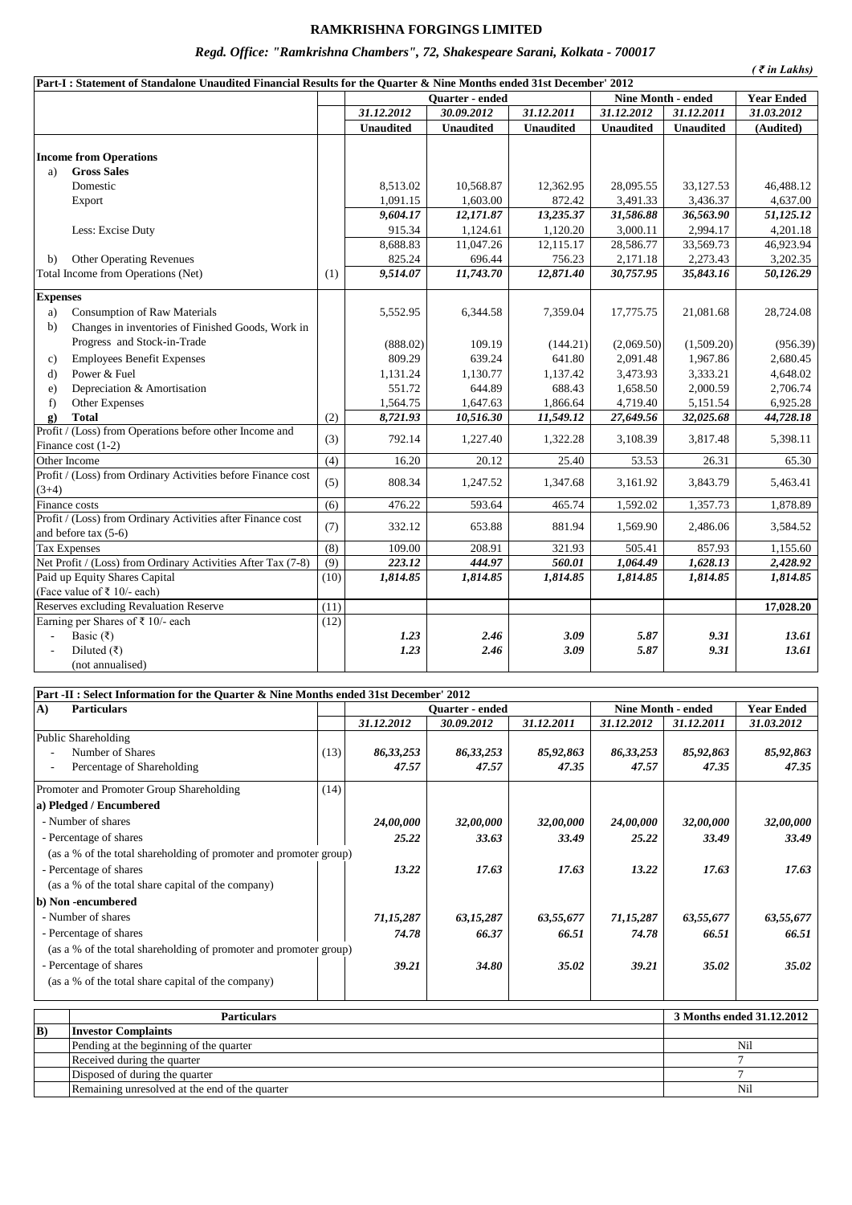## **RAMKRISHNA FORGINGS LIMITED**

## *Regd. Office: "Ramkrishna Chambers", 72, Shakespeare Sarani, Kolkata - 700017*

*( ₹ in Lakhs)*

| Part-I: Statement of Standalone Unaudited Financial Results for the Quarter & Nine Months ended 31st December' 2012 |                                                              |                  |                  |                        |                        |                    |                   |            |
|---------------------------------------------------------------------------------------------------------------------|--------------------------------------------------------------|------------------|------------------|------------------------|------------------------|--------------------|-------------------|------------|
|                                                                                                                     |                                                              |                  |                  | <b>Ouarter</b> - ended |                        | Nine Month - ended | <b>Year Ended</b> |            |
|                                                                                                                     |                                                              |                  | 31.12.2012       | 30.09.2012             | 31.12.2011             | 31.12.2012         | 31.12.2011        | 31.03.2012 |
|                                                                                                                     |                                                              |                  | <b>Unaudited</b> | <b>Unaudited</b>       | <b>Unaudited</b>       | <b>Unaudited</b>   | <b>Unaudited</b>  | (Audited)  |
|                                                                                                                     |                                                              |                  |                  |                        |                        |                    |                   |            |
|                                                                                                                     | <b>Income from Operations</b>                                |                  |                  |                        |                        |                    |                   |            |
| a)                                                                                                                  | <b>Gross Sales</b>                                           |                  |                  |                        |                        |                    |                   |            |
|                                                                                                                     | Domestic                                                     |                  | 8,513.02         | 10.568.87              | 12,362.95              | 28,095.55          | 33,127.53         | 46,488.12  |
|                                                                                                                     | Export                                                       |                  | 1,091.15         | 1,603.00               | 872.42                 | 3,491.33           | 3,436.37          | 4,637.00   |
|                                                                                                                     |                                                              |                  | 9,604.17         | 12,171.87              | 13,235.37              | 31,586.88          | 36,563.90         | 51,125.12  |
|                                                                                                                     | Less: Excise Duty                                            |                  | 915.34           | 1,124.61               | 1,120.20               | 3,000.11           | 2,994.17          | 4,201.18   |
|                                                                                                                     |                                                              |                  | 8,688.83         | 11,047.26              | $12,115.\overline{17}$ | 28,586.77          | 33,569.73         | 46,923.94  |
| b)                                                                                                                  | <b>Other Operating Revenues</b>                              |                  | 825.24           | 696.44                 | 756.23                 | 2,171.18           | 2,273.43          | 3,202.35   |
|                                                                                                                     | Total Income from Operations (Net)                           | (1)              | 9,514.07         | 11,743.70              | 12,871.40              | 30,757.95          | 35,843.16         | 50,126.29  |
| <b>Expenses</b>                                                                                                     |                                                              |                  |                  |                        |                        |                    |                   |            |
| a)                                                                                                                  | <b>Consumption of Raw Materials</b>                          |                  | 5,552.95         | 6,344.58               | 7,359.04               | 17,775.75          | 21,081.68         | 28,724.08  |
| b)                                                                                                                  | Changes in inventories of Finished Goods, Work in            |                  |                  |                        |                        |                    |                   |            |
|                                                                                                                     | Progress and Stock-in-Trade                                  |                  | (888.02)         | 109.19                 | (144.21)               | (2,069.50)         | (1,509.20)        | (956.39)   |
| c)                                                                                                                  | <b>Employees Benefit Expenses</b>                            |                  | 809.29           | 639.24                 | 641.80                 | 2,091.48           | 1,967.86          | 2,680.45   |
| $\mathbf{d}$                                                                                                        | Power & Fuel                                                 |                  | 1,131.24         | 1,130.77               | 1,137.42               | 3,473.93           | 3,333.21          | 4,648.02   |
| e)                                                                                                                  | Depreciation & Amortisation                                  |                  | 551.72           | 644.89                 | 688.43                 | 1,658.50           | 2,000.59          | 2,706.74   |
| f)                                                                                                                  | Other Expenses                                               |                  | 1,564.75         | 1,647.63               | 1,866.64               | 4,719.40           | 5,151.54          | 6,925.28   |
| g)                                                                                                                  | <b>Total</b>                                                 | (2)              | 8,721.93         | 10,516.30              | 11,549.12              | 27,649.56          | 32,025.68         | 44,728.18  |
|                                                                                                                     | Profit / (Loss) from Operations before other Income and      |                  | 792.14           | 1,227.40               |                        |                    | 3,817.48          | 5,398.11   |
| Finance cost $(1-2)$                                                                                                |                                                              | (3)              |                  |                        | 1,322.28               | 3,108.39           |                   |            |
| Other Income                                                                                                        |                                                              | $\overline{(4)}$ | 16.20            | 20.12                  | 25.40                  | 53.53              | 26.31             | 65.30      |
| $(3+4)$                                                                                                             | Profit / (Loss) from Ordinary Activities before Finance cost | (5)              | 808.34           | 1,247.52               | 1,347.68               | 3,161.92           | 3,843.79          | 5,463.41   |
| Finance costs                                                                                                       |                                                              | (6)              | 476.22           | 593.64                 | 465.74                 | 1,592.02           | 1,357.73          | 1,878.89   |
|                                                                                                                     | Profit / (Loss) from Ordinary Activities after Finance cost  |                  |                  |                        |                        |                    |                   |            |
| and before tax (5-6)                                                                                                |                                                              | (7)              | 332.12           | 653.88                 | 881.94                 | 1,569.90           | 2,486.06          | 3,584.52   |
| <b>Tax Expenses</b>                                                                                                 |                                                              | (8)              | 109.00           | 208.91                 | 321.93                 | 505.41             | 857.93            | 1,155.60   |
|                                                                                                                     | Net Profit / (Loss) from Ordinary Activities After Tax (7-8) | (9)              | 223.12           | 444.97                 | 560.01                 | 1,064.49           | 1,628.13          | 2,428.92   |
|                                                                                                                     | Paid up Equity Shares Capital                                | (10)             | 1,814.85         | 1,814.85               | 1,814.85               | 1,814.85           | 1,814.85          | 1,814.85   |
|                                                                                                                     | (Face value of ₹ 10/- each)                                  |                  |                  |                        |                        |                    |                   |            |
|                                                                                                                     | Reserves excluding Revaluation Reserve                       | (11)             |                  |                        |                        |                    |                   | 17,028.20  |
|                                                                                                                     | Earning per Shares of $\bar{x}$ 10/- each                    | (12)             |                  |                        |                        |                    |                   |            |
| ÷,                                                                                                                  | Basic $(\overline{\tau})$                                    |                  | 1.23             | 2.46                   | 3.09                   | 5.87               | 9.31              | 13.61      |
|                                                                                                                     | Diluted $(\overline{\tau})$                                  |                  | 1.23             | 2.46                   | 3.09                   | 5.87               | 9.31              | 13.61      |
|                                                                                                                     | (not annualised)                                             |                  |                  |                        |                        |                    |                   |            |

| Part -II : Select Information for the Quarter & Nine Months ended 31st December' 2012 |      |                        |             |            |                           |            |                   |
|---------------------------------------------------------------------------------------|------|------------------------|-------------|------------|---------------------------|------------|-------------------|
| A)<br><b>Particulars</b>                                                              |      | <b>Ouarter</b> - ended |             |            | <b>Nine Month - ended</b> |            | <b>Year Ended</b> |
|                                                                                       |      | 31.12.2012             | 30.09.2012  | 31.12.2011 | 31.12.2012                | 31.12.2011 | 31.03.2012        |
| Public Shareholding                                                                   |      |                        |             |            |                           |            |                   |
| Number of Shares                                                                      | (13) | 86, 33, 253            | 86, 33, 253 | 85,92,863  | 86,33,253                 | 85,92,863  | 85,92,863         |
| Percentage of Shareholding                                                            |      | 47.57                  | 47.57       | 47.35      | 47.57                     | 47.35      | 47.35             |
| Promoter and Promoter Group Shareholding                                              | (14) |                        |             |            |                           |            |                   |
| a) Pledged / Encumbered                                                               |      |                        |             |            |                           |            |                   |
| - Number of shares                                                                    |      | 24,00,000              | 32,00,000   | 32,00,000  | 24,00,000                 | 32,00,000  | 32,00,000         |
| - Percentage of shares                                                                |      | 25.22                  | 33.63       | 33.49      | 25.22                     | 33.49      | 33.49             |
| (as a % of the total shareholding of promoter and promoter group)                     |      |                        |             |            |                           |            |                   |
| - Percentage of shares                                                                |      | 13.22                  | 17.63       | 17.63      | 13.22                     | 17.63      | 17.63             |
| (as a % of the total share capital of the company)                                    |      |                        |             |            |                           |            |                   |
| b) Non-encumbered                                                                     |      |                        |             |            |                           |            |                   |
| - Number of shares                                                                    |      | 71,15,287              | 63,15,287   | 63,55,677  | 71,15,287                 | 63,55,677  | 63,55,677         |
| - Percentage of shares                                                                |      | 74.78                  | 66.37       | 66.51      | 74.78                     | 66.51      | 66.51             |
| (as a % of the total shareholding of promoter and promoter group)                     |      |                        |             |            |                           |            |                   |
| - Percentage of shares                                                                |      | 39.21                  | 34.80       | 35.02      | 39.21                     | 35.02      | 35.02             |
| (as a % of the total share capital of the company)                                    |      |                        |             |            |                           |            |                   |

|             | <b>Particulars</b>                             | 3 Months ended 31.12.2012 |
|-------------|------------------------------------------------|---------------------------|
| $ {\bf B} $ | <b>Investor Complaints</b>                     |                           |
|             | Pending at the beginning of the quarter        | Nil                       |
|             | Received during the quarter                    |                           |
|             | Disposed of during the quarter                 |                           |
|             | Remaining unresolved at the end of the quarter | Nil                       |